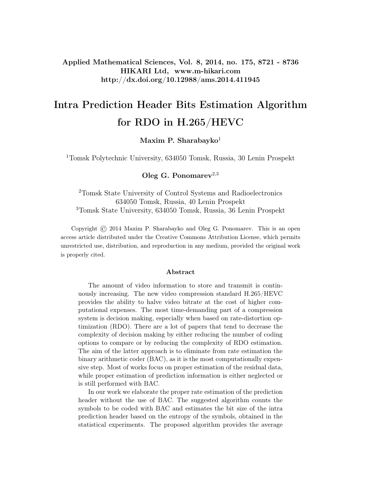Applied Mathematical Sciences, Vol. 8, 2014, no. 175, 8721 - 8736 HIKARI Ltd, www.m-hikari.com http://dx.doi.org/10.12988/ams.2014.411945

# Intra Prediction Header Bits Estimation Algorithm for RDO in H.265/HEVC

Maxim P. Sharabayko $1$ 

<sup>1</sup>Tomsk Polytechnic University, 634050 Tomsk, Russia, 30 Lenin Prospekt

Oleg G. Ponomarev<sup>2,3</sup>

<sup>2</sup>Tomsk State University of Control Systems and Radioelectronics 634050 Tomsk, Russia, 40 Lenin Prospekt <sup>3</sup>Tomsk State University, 634050 Tomsk, Russia, 36 Lenin Prospekt

Copyright © 2014 Maxim P. Sharabayko and Oleg G. Ponomarev. This is an open access article distributed under the Creative Commons Attribution License, which permits unrestricted use, distribution, and reproduction in any medium, provided the original work is properly cited.

#### Abstract

The amount of video information to store and transmit is continuously increasing. The new video compression standard H.265/HEVC provides the ability to halve video bitrate at the cost of higher computational expenses. The most time-demanding part of a compression system is decision making, especially when based on rate-distortion optimization (RDO). There are a lot of papers that tend to decrease the complexity of decision making by either reducing the number of coding options to compare or by reducing the complexity of RDO estimation. The aim of the latter approach is to eliminate from rate estimation the binary arithmetic coder (BAC), as it is the most computationally expensive step. Most of works focus on proper estimation of the residual data, while proper estimation of prediction information is either neglected or is still performed with BAC.

In our work we elaborate the proper rate estimation of the prediction header without the use of BAC. The suggested algorithm counts the symbols to be coded with BAC and estimates the bit size of the intra prediction header based on the entropy of the symbols, obtained in the statistical experiments. The proposed algorithm provides the average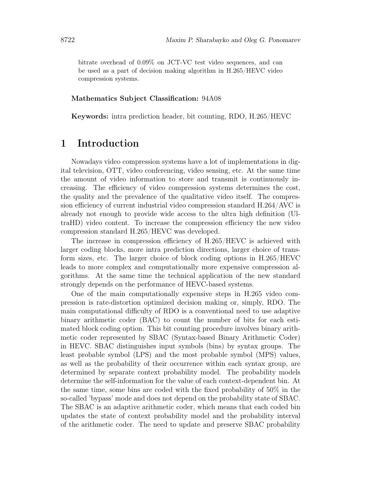bitrate overhead of 0.09% on JCT-VC test video sequences, and can be used as a part of decision making algorithm in H.265/HEVC video compression systems.

#### Mathematics Subject Classification: 94A08

Keywords: intra prediction header, bit counting, RDO, H.265/HEVC

### 1 Introduction

Nowadays video compression systems have a lot of implementations in digital television, OTT, video conferencing, video sensing, etc. At the same time the amount of video information to store and transmit is continuously increasing. The efficiency of video compression systems determines the cost, the quality and the prevalence of the qualitative video itself. The compression efficiency of current industrial video compression standard H.264/AVC is already not enough to provide wide access to the ultra high definition (UltraHD) video content. To increase the compression efficiency the new video compression standard H.265/HEVC was developed.

The increase in compression efficiency of H.265/HEVC is achieved with larger coding blocks, more intra prediction directions, larger choice of transform sizes, etc. The larger choice of block coding options in H.265/HEVC leads to more complex and computationally more expensive compression algorithms. At the same time the technical application of the new standard strongly depends on the performance of HEVC-based systems.

One of the main computationally expensive steps in H.265 video compression is rate-distortion optimized decision making or, simply, RDO. The main computational difficulty of RDO is a conventional need to use adaptive binary arithmetic coder (BAC) to count the number of bits for each estimated block coding option. This bit counting procedure involves binary arithmetic coder represented by SBAC (Syntax-based Binary Arithmetic Coder) in HEVC. SBAC distinguishes input symbols (bins) by syntax groups. The least probable symbol (LPS) and the most probable symbol (MPS) values, as well as the probability of their occurrence within each syntax group, are determined by separate context probability model. The probability models determine the self-information for the value of each context-dependent bin. At the same time, some bins are coded with the fixed probability of 50% in the so-called 'bypass' mode and does not depend on the probability state of SBAC. The SBAC is an adaptive arithmetic coder, which means that each coded bin updates the state of context probability model and the probability interval of the arithmetic coder. The need to update and preserve SBAC probability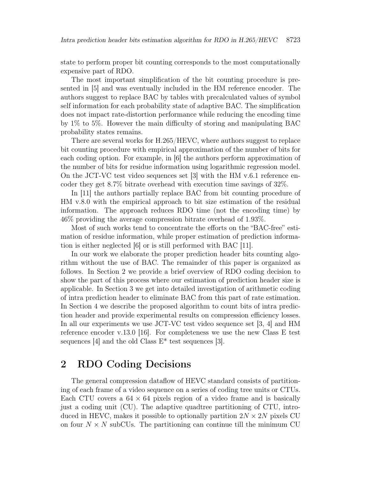state to perform proper bit counting corresponds to the most computationally expensive part of RDO.

The most important simplification of the bit counting procedure is presented in [5] and was eventually included in the HM reference encoder. The authors suggest to replace BAC by tables with precalculated values of symbol self information for each probability state of adaptive BAC. The simplification does not impact rate-distortion performance while reducing the encoding time by 1% to 5%. However the main difficulty of storing and manipulating BAC probability states remains.

There are several works for H.265/HEVC, where authors suggest to replace bit counting procedure with empirical approximation of the number of bits for each coding option. For example, in [6] the authors perform approximation of the number of bits for residue information using logarithmic regression model. On the JCT-VC test video sequences set [3] with the HM v.6.1 reference encoder they get 8.7% bitrate overhead with execution time savings of 32%.

In [11] the authors partially replace BAC from bit counting procedure of HM v.8.0 with the empirical approach to bit size estimation of the residual information. The approach reduces RDO time (not the encoding time) by 46% providing the average compression bitrate overhead of 1.93%.

Most of such works tend to concentrate the efforts on the "BAC-free" estimation of residue information, while proper estimation of prediction information is either neglected [6] or is still performed with BAC [11].

In our work we elaborate the proper prediction header bits counting algorithm without the use of BAC. The remainder of this paper is organized as follows. In Section 2 we provide a brief overview of RDO coding decision to show the part of this process where our estimation of prediction header size is applicable. In Section 3 we get into detailed investigation of arithmetic coding of intra prediction header to eliminate BAC from this part of rate estimation. In Section 4 we describe the proposed algorithm to count bits of intra prediction header and provide experimental results on compression efficiency losses. In all our experiments we use JCT-VC test video sequence set [3, 4] and HM reference encoder v.13.0 [16]. For completeness we use the new Class E test sequences [4] and the old Class  $E^*$  test sequences [3].

### 2 RDO Coding Decisions

The general compression dataflow of HEVC standard consists of partitioning of each frame of a video sequence on a series of coding tree units or CTUs. Each CTU covers a  $64 \times 64$  pixels region of a video frame and is basically just a coding unit (CU). The adaptive quadtree partitioning of CTU, introduced in HEVC, makes it possible to optionally partition  $2N \times 2N$  pixels CU on four  $N \times N$  subCUs. The partitioning can continue till the minimum CU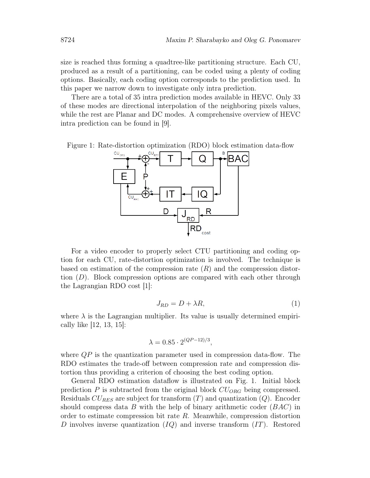size is reached thus forming a quadtree-like partitioning structure. Each CU, produced as a result of a partitioning, can be coded using a plenty of coding options. Basically, each coding option corresponds to the prediction used. In this paper we narrow down to investigate only intra prediction.

There are a total of 35 intra prediction modes available in HEVC. Only 33 of these modes are directional interpolation of the neighboring pixels values, while the rest are Planar and DC modes. A comprehensive overview of HEVC intra prediction can be found in [9].

Figure 1: Rate-distortion optimization (RDO) block estimation data-flow



For a video encoder to properly select CTU partitioning and coding option for each CU, rate-distortion optimization is involved. The technique is based on estimation of the compression rate  $(R)$  and the compression distortion  $(D)$ . Block compression options are compared with each other through the Lagrangian RDO cost [1]:

$$
J_{RD} = D + \lambda R,\tag{1}
$$

where  $\lambda$  is the Lagrangian multiplier. Its value is usually determined empirically like [12, 13, 15]:

$$
\lambda = 0.85 \cdot 2^{(QP-12)/3},
$$

where  $QP$  is the quantization parameter used in compression data-flow. The RDO estimates the trade-off between compression rate and compression distortion thus providing a criterion of choosing the best coding option.

General RDO estimation dataflow is illustrated on Fig. 1. Initial block prediction  $P$  is subtracted from the original block  $CU_{ORG}$  being compressed. Residuals  $CU_{RES}$  are subject for transform  $(T)$  and quantization  $(Q)$ . Encoder should compress data B with the help of binary arithmetic coder  $(BAC)$  in order to estimate compression bit rate  $R$ . Meanwhile, compression distortion D involves inverse quantization  $(IQ)$  and inverse transform  $(IT)$ . Restored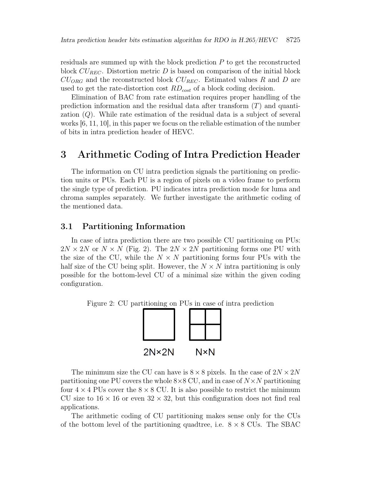residuals are summed up with the block prediction P to get the reconstructed block  $CU_{REC}$ . Distortion metric D is based on comparison of the initial block  $CU_{ORG}$  and the reconstructed block  $CU_{REC}$ . Estimated values R and D are used to get the rate-distortion cost  $RD_{cost}$  of a block coding decision.

Elimination of BAC from rate estimation requires proper handling of the prediction information and the residual data after transform  $(T)$  and quantization (Q). While rate estimation of the residual data is a subject of several works [6, 11, 10], in this paper we focus on the reliable estimation of the number of bits in intra prediction header of HEVC.

### 3 Arithmetic Coding of Intra Prediction Header

The information on CU intra prediction signals the partitioning on prediction units or PUs. Each PU is a region of pixels on a video frame to perform the single type of prediction. PU indicates intra prediction mode for luma and chroma samples separately. We further investigate the arithmetic coding of the mentioned data.

#### 3.1 Partitioning Information

In case of intra prediction there are two possible CU partitioning on PUs:  $2N \times 2N$  or  $N \times N$  (Fig. 2). The  $2N \times 2N$  partitioning forms one PU with the size of the CU, while the  $N \times N$  partitioning forms four PUs with the half size of the CU being split. However, the  $N \times N$  intra partitioning is only possible for the bottom-level CU of a minimal size within the given coding configuration.

Figure 2: CU partitioning on PUs in case of intra prediction



The minimum size the CU can have is  $8 \times 8$  pixels. In the case of  $2N \times 2N$ partitioning one PU covers the whole  $8\times 8$  CU, and in case of  $N\times N$  partitioning four  $4 \times 4$  PUs cover the  $8 \times 8$  CU. It is also possible to restrict the minimum CU size to  $16 \times 16$  or even  $32 \times 32$ , but this configuration does not find real applications.

The arithmetic coding of CU partitioning makes sense only for the CUs of the bottom level of the partitioning quadtree, i.e.  $8 \times 8$  CUs. The SBAC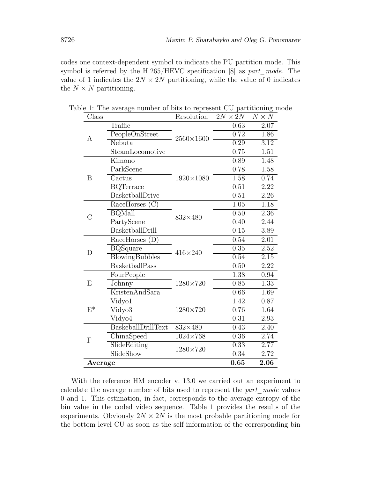codes one context-dependent symbol to indicate the PU partition mode. This symbol is referred by the H.265/HEVC specification  $[8]$  as part mode. The value of 1 indicates the  $2N \times 2N$  partitioning, while the value of 0 indicates the  $N \times N$  partitioning.

| Class     |                       | Resolution                   | $2N \times 2N$    | $N \times N$      |
|-----------|-----------------------|------------------------------|-------------------|-------------------|
| А         | Traffic               |                              | 0.63              | 2.07              |
|           | PeopleOnStreet        | $2560\times1600$             | 0.72              | 1.86              |
|           | Nebuta                |                              | 0.29              | $\overline{3.12}$ |
|           | SteamLocomotive       |                              | 0.75              | 1.51              |
|           | Kimono                |                              | 0.89              | 1.48              |
|           | ParkScene             |                              | 0.78              | 1.58              |
| B         | Cactus                | $1920 \times 1080$           | 1.58              | 0.74              |
|           | <b>BQTerrace</b>      |                              | 0.51              | 2.22              |
|           | BasketballDrive       |                              | 0.51              | 2.26              |
|           | RaceHorses (C)        |                              | $\overline{1.05}$ | 1.18              |
| $\bigcap$ | <b>BQMall</b>         | $832\times480$               | 0.50              | 2.36              |
|           | PartyScene            |                              | 0.40              | 2.44              |
|           | BasketballDrill       |                              | 0.15              | $\overline{3.89}$ |
| D         | RaceHorses (D)        |                              | 0.54              | 2.01              |
|           | <b>BQSquare</b>       | $416 \times 240$             | 0.35              | $\overline{2.52}$ |
|           | <b>BlowingBubbles</b> |                              | 0.54              | 2.15              |
|           | BasketballPass        |                              | 0.50              | 2.22              |
| E         | FourPeople            |                              | 1.38              | 0.94              |
|           | Johnny                | 1280×720                     | 0.85              | 1.33              |
|           | <b>KristenAndSara</b> |                              | 0.66              | 1.69              |
| $E^*$     | Vidyo1                |                              | 1.42              | 0.87              |
|           | Vidyo3                | 1280×720                     | 0.76              | 1.64              |
|           | Vidyo4                |                              | 0.31              | 2.93              |
| F         | BaskeballDrillText    | $832\times480$               | 0.43              | 2.40              |
|           | ChinaSpeed            | $\overline{1024} \times 768$ | 0.36              | 2.74              |
|           | SlideEditing          | $1280\times720$              | 0.33              | 2.77              |
|           | SlideShow             |                              | 0.34              | 2.72              |
| Average   |                       |                              | 0.65              | 2.06              |

Table 1: The average number of bits to represent CU partitioning mode

With the reference HM encoder v. 13.0 we carried out an experiment to calculate the average number of bits used to represent the part mode values 0 and 1. This estimation, in fact, corresponds to the average entropy of the bin value in the coded video sequence. Table 1 provides the results of the experiments. Obviously  $2N \times 2N$  is the most probable partitioning mode for the bottom level CU as soon as the self information of the corresponding bin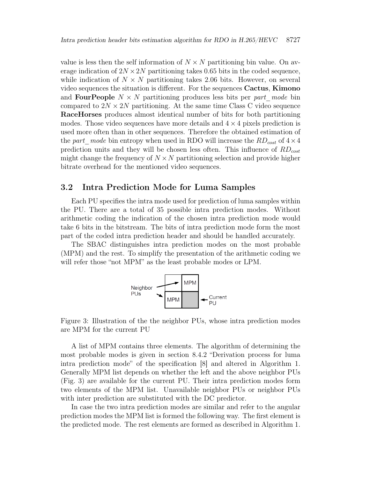value is less then the self information of  $N \times N$  partitioning bin value. On average indication of  $2N \times 2N$  partitioning takes 0.65 bits in the coded sequence, while indication of  $N \times N$  partitioning takes 2.06 bits. However, on several video sequences the situation is different. For the sequences Cactus, Kimono and **FourPeople**  $N \times N$  partitioning produces less bits per part mode bin compared to  $2N \times 2N$  partitioning. At the same time Class C video sequence RaceHorses produces almost identical number of bits for both partitioning modes. Those video sequences have more details and  $4 \times 4$  pixels prediction is used more often than in other sequences. Therefore the obtained estimation of the part\_mode bin entropy when used in RDO will increase the  $RD_{cost}$  of  $4 \times 4$ prediction units and they will be chosen less often. This influence of  $RD_{cost}$ might change the frequency of  $N \times N$  partitioning selection and provide higher bitrate overhead for the mentioned video sequences.

### 3.2 Intra Prediction Mode for Luma Samples

Each PU specifies the intra mode used for prediction of luma samples within the PU. There are a total of 35 possible intra prediction modes. Without arithmetic coding the indication of the chosen intra prediction mode would take 6 bits in the bitstream. The bits of intra prediction mode form the most part of the coded intra prediction header and should be handled accurately.

The SBAC distinguishes intra prediction modes on the most probable (MPM) and the rest. To simplify the presentation of the arithmetic coding we will refer those "not MPM" as the least probable modes or LPM.



Figure 3: Illustration of the the neighbor PUs, whose intra prediction modes are MPM for the current PU

A list of MPM contains three elements. The algorithm of determining the most probable modes is given in section 8.4.2 "Derivation process for luma intra prediction mode" of the specification [8] and altered in Algorithm 1. Generally MPM list depends on whether the left and the above neighbor PUs (Fig. 3) are available for the current PU. Their intra prediction modes form two elements of the MPM list. Unavailable neighbor PUs or neighbor PUs with inter prediction are substituted with the DC predictor.

In case the two intra prediction modes are similar and refer to the angular prediction modes the MPM list is formed the following way. The first element is the predicted mode. The rest elements are formed as described in Algorithm 1.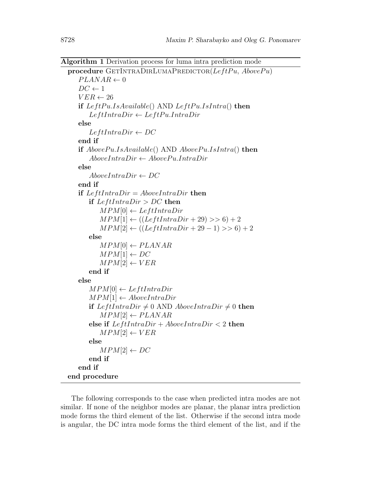Algorithm 1 Derivation process for luma intra prediction mode

```
procedure GETINTRADIRLUMAPREDICTOR(LeftPu, Above Pu)
   PLANAR \leftarrow 0DC \leftarrow 1VER \leftarrow 26if LeftPu.IsAvailable() AND LeftPu.IsIntra() then
       LeftIntraDir \leftarrow LeftPu. IntraDirelse
       LeftIntraDir \leftarrow DCend if
   if Above Pu. Is Available() AND Above Pu. IsIntro() then
       AboveIntroDir \leftarrow AbovePu. IntraDirelse
       AboveIntraDir \leftarrow DCend if
   if LeftIntraDir = AboveIntraDir then
      if LeftIntroDir > DC then
          MPM[0] \leftarrow LeftIntroDirMPM[1] \leftarrow ((LeftIntroDir + 29) >> 6) + 2MPM[2] \leftarrow ((LeftIntroDir + 29 - 1) >> 6) + 2else
          MPM[0] \leftarrow PLANARMPM[1] \leftarrow DCMPM[2] \leftarrow VERend if
   else
       MPM[0] \leftarrow LeftIntraDirMPM[1] \leftarrow AboveIntraDirif LeftIntraDir \neq 0 AND AboveIntraDir \neq 0 then
          MPM[2] \leftarrow PLANARelse if LeftIntroDir + AboveIntraDir < 2 then
          MPM[2] \leftarrow VERelse
          MPM[2] \leftarrow DCend if
   end if
end procedure
```
The following corresponds to the case when predicted intra modes are not similar. If none of the neighbor modes are planar, the planar intra prediction mode forms the third element of the list. Otherwise if the second intra mode is angular, the DC intra mode forms the third element of the list, and if the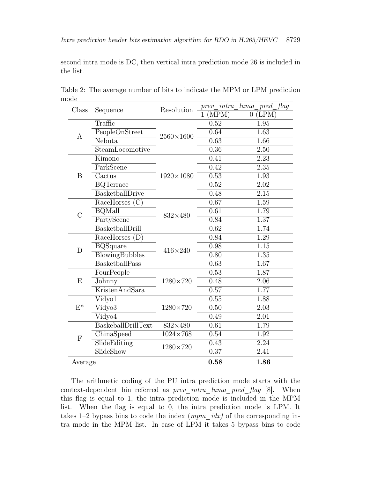second intra mode is DC, then vertical intra prediction mode 26 is included in the list.

| Class            | Sequence                           | Resolution         | $prev\_intra$ | luma<br>flag<br>$_{pred}$ |
|------------------|------------------------------------|--------------------|---------------|---------------------------|
|                  |                                    |                    | (MPM)         | (LPM)<br>$\overline{0}$   |
| А                | Traffic                            |                    | 0.52          | 1.95                      |
|                  | PeopleOnStreet                     | $2560\times1600$   | 0.64          | 1.63                      |
|                  | Nebuta                             |                    | 0.63          | 1.66                      |
|                  | SteamLocomotive                    |                    | 0.36          | 2.50                      |
| B                | Kimono                             |                    | 0.41          | 2.23                      |
|                  | ParkScene                          |                    | 0.42          | 2.35                      |
|                  | Cactus                             | $1920 \times 1080$ | 0.53          | 1.93                      |
|                  | <b>BQTerrace</b>                   |                    | 0.52          | $\overline{2.02}$         |
|                  | BasketballDrive                    |                    | 0.48          | $\overline{2.15}$         |
|                  | RaceHorses $(C)$                   |                    | 0.67          | 1.59                      |
| $\overline{C}$   | <b>BQMall</b>                      | $832\times480$     | 0.61          | 1.79                      |
|                  | PartyScene                         |                    | 0.84          | 1.37                      |
|                  | BasketballDrill                    |                    | 0.62          | 1.74                      |
|                  | $\overline{\text{RaceHorses}}$ (D) |                    | 0.84          | 1.29                      |
| $\mathbf D$      | <b>BQSquare</b>                    | $416\times240$     | 0.98          | $\overline{1.15}$         |
|                  | <b>BlowingBubbles</b>              |                    | 0.80          | 1.35                      |
|                  | BasketballPass                     |                    | 0.63          | $\overline{1.67}$         |
|                  | FourPeople                         |                    | 0.53          | 1.87                      |
| E                | <b>Johnny</b>                      | $1280\times720$    | 0.48          | 2.06                      |
|                  | KristenAndSara                     |                    | 0.57          | 1.77                      |
|                  | Vidyo1                             |                    | 0.55          | 1.88                      |
| $E^*$            | Vidyo3                             | $1280\times720$    | 0.50          | 2.03                      |
|                  | Vidyo4                             |                    | 0.49          | $\overline{2.01}$         |
| $\boldsymbol{F}$ | BaskeballDrillText                 | $832\times480$     | 0.61          | 1.79                      |
|                  | ChinaSpeed                         | $1024\times768$    | 0.54          | 1.92                      |
|                  | SlideEditing                       | $1280 \times 720$  | 0.43          | 2.24                      |
|                  | SlideShow                          |                    | 0.37          | $\overline{2.41}$         |
| Average          |                                    | 0.58               | 1.86          |                           |

Table 2: The average number of bits to indicate the MPM or LPM prediction mode

The arithmetic coding of the PU intra prediction mode starts with the context-dependent bin referred as *prev\_intra\_luma\_pred\_flag* [8]. When this flag is equal to 1, the intra prediction mode is included in the MPM list. When the flag is equal to 0, the intra prediction mode is LPM. It takes 1–2 bypass bins to code the index  $(mpm\_idx)$  of the corresponding intra mode in the MPM list. In case of LPM it takes 5 bypass bins to code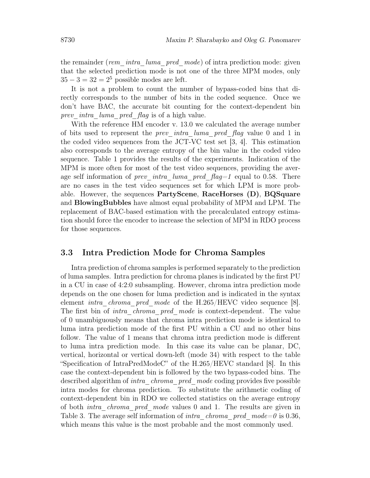the remainder (rem\_intra\_luma\_pred\_mode) of intra prediction mode: given that the selected prediction mode is not one of the three MPM modes, only  $35 - 3 = 32 = 2<sup>5</sup>$  possible modes are left.

It is not a problem to count the number of bypass-coded bins that directly corresponds to the number of bits in the coded sequence. Once we don't have BAC, the accurate bit counting for the context-dependent bin prev intra luma pred flag is of a high value.

With the reference HM encoder v. 13.0 we calculated the average number of bits used to represent the *prev* intra luma pred  $flag$  value 0 and 1 in the coded video sequences from the JCT-VC test set [3, 4]. This estimation also corresponds to the average entropy of the bin value in the coded video sequence. Table 1 provides the results of the experiments. Indication of the MPM is more often for most of the test video sequences, providing the average self information of prev intra luma pred  $flag=1$  equal to 0.58. There are no cases in the test video sequences set for which LPM is more probable. However, the sequences PartyScene, RaceHorses (D), BQSquare and BlowingBubbles have almost equal probability of MPM and LPM. The replacement of BAC-based estimation with the precalculated entropy estimation should force the encoder to increase the selection of MPM in RDO process for those sequences.

### 3.3 Intra Prediction Mode for Chroma Samples

Intra prediction of chroma samples is performed separately to the prediction of luma samples. Intra prediction for chroma planes is indicated by the first PU in a CU in case of 4:2:0 subsampling. However, chroma intra prediction mode depends on the one chosen for luma prediction and is indicated in the syntax element *intra chroma pred mode* of the H.265/HEVC video sequence [8]. The first bin of *intra chroma pred mode* is context-dependent. The value of 0 unambiguously means that chroma intra prediction mode is identical to luma intra prediction mode of the first PU within a CU and no other bins follow. The value of 1 means that chroma intra prediction mode is different to luma intra prediction mode. In this case its value can be planar, DC, vertical, horizontal or vertical down-left (mode 34) with respect to the table "Specification of IntraPredModeC" of the H.265/HEVC standard [8]. In this case the context-dependent bin is followed by the two bypass-coded bins. The described algorithm of *intra* chroma pred mode coding provides five possible intra modes for chroma prediction. To substitute the arithmetic coding of context-dependent bin in RDO we collected statistics on the average entropy of both intra\_chroma\_pred\_mode values 0 and 1. The results are given in Table 3. The average self information of *intra* chroma pred mode=0 is 0.36, which means this value is the most probable and the most commonly used.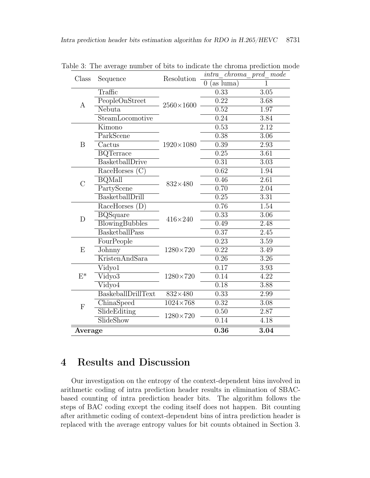| Class          | Sequence                        | Resolution         | intra chroma pred mode         |                   |
|----------------|---------------------------------|--------------------|--------------------------------|-------------------|
|                |                                 |                    | $(as\ luma)$<br>$\overline{0}$ |                   |
| А              | Traffic                         |                    | 0.33                           | 3.05              |
|                | PeopleOnStreet                  | $2560\times1600$   | $\overline{0.22}$              | $\overline{3.68}$ |
|                | Nebuta                          |                    | 0.52                           | $\overline{1.97}$ |
|                | SteamLocomotive                 |                    | 0.24                           | 3.84              |
| B              | Kimono                          | $1920 \times 1080$ | 0.53                           | $\overline{2.12}$ |
|                | ParkScene                       |                    | 0.38                           | 3.06              |
|                | Cactus                          |                    | 0.39                           | $\overline{2.93}$ |
|                | <b>BQTerrace</b>                |                    | 0.25                           | 3.61              |
|                | BasketballDrive                 |                    | 0.31                           | $\overline{3.03}$ |
| $\overline{C}$ | RaceHorses<br>(C)               |                    | 0.62                           | 1.94              |
|                | <b>BQMall</b>                   | $832\times480$     | 0.46                           | $\overline{2.61}$ |
|                | PartyScene                      |                    | 0.70                           | 2.04              |
|                | BasketballDrill                 |                    | 0.25                           | $\overline{3.31}$ |
|                | RaceHorses<br>(D)               | $416\times240$     | 0.76                           | 1.54              |
| $\mathbf D$    | $\overline{\mathrm{BQS}}$ quare |                    | 0.33                           | $\overline{3.06}$ |
|                | <b>BlowingBubbles</b>           |                    | 0.49                           | 2.48              |
|                | BasketballPass                  |                    | 0.37                           | $\overline{2.45}$ |
|                | FourPeople                      |                    | 0.23                           | 3.59              |
| E              | Johnny                          | $1280\times720$    | 0.22                           | 3.49              |
|                | KristenAndSara                  |                    | 0.26                           | $\overline{3.26}$ |
|                | Vidyo1                          | $1280\times720$    | 0.17                           | 3.93              |
| $E^*$          | Vidyo3                          |                    | 0.14                           | $\overline{4.22}$ |
|                | Vidyo4                          |                    | 0.18                           | 3.88              |
| F              | BaskeballDrillText              | $832\times480$     | 0.33                           | 2.99              |
|                | ChinaSpeed                      | $1024\times768$    | 0.32                           | 3.08              |
|                | SlideEditing                    | $1280\times720$    | $\overline{0.50}$              | 2.87              |
|                | SlideShow                       |                    | 0.14                           | 4.18              |
| Average        |                                 |                    | 0.36                           | 3.04              |

Table 3: The average number of bits to indicate the chroma prediction mode

## 4 Results and Discussion

Our investigation on the entropy of the context-dependent bins involved in arithmetic coding of intra prediction header results in elimination of SBACbased counting of intra prediction header bits. The algorithm follows the steps of BAC coding except the coding itself does not happen. Bit counting after arithmetic coding of context-dependent bins of intra prediction header is replaced with the average entropy values for bit counts obtained in Section 3.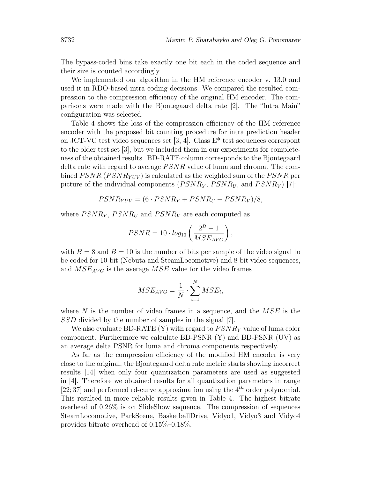The bypass-coded bins take exactly one bit each in the coded sequence and their size is counted accordingly.

We implemented our algorithm in the HM reference encoder v. 13.0 and used it in RDO-based intra coding decisions. We compared the resulted compression to the compression efficiency of the original HM encoder. The comparisons were made with the Bjontegaard delta rate [2]. The "Intra Main" configuration was selected.

Table 4 shows the loss of the compression efficiency of the HM reference encoder with the proposed bit counting procedure for intra prediction header on JCT-VC test video sequences set [3, 4]. Class  $E^*$  test sequences correspont to the older test set [3], but we included them in our experiments for completeness of the obtained results. BD-RATE column corresponds to the Bjontegaard delta rate with regard to average  $PSNR$  value of luma and chroma. The combined  $PSNR (PSNR_{YUV})$  is calculated as the weighted sum of the  $PSNR$  per picture of the individual components  $(PSNR<sub>Y</sub>, PSNR<sub>U</sub>, and PSNR<sub>V</sub>)$  [7]:

$$
PSNR_{YUV} = (6 \cdot PSNR_Y + PSNR_U + PSNR_V)/8,
$$

where  $PSNR<sub>Y</sub>$ ,  $PSNR<sub>U</sub>$  and  $PSNR<sub>V</sub>$  are each computed as

$$
PSNR = 10 \cdot log_{10} \left( \frac{2^B - 1}{MSE_{AVG}} \right),
$$

with  $B = 8$  and  $B = 10$  is the number of bits per sample of the video signal to be coded for 10-bit (Nebuta and SteamLocomotive) and 8-bit video sequences, and  $MSE_{AVG}$  is the average  $MSE$  value for the video frames

$$
MSE_{AVG} = \frac{1}{N} \cdot \sum_{i=1}^{N} MSE_i,
$$

where  $N$  is the number of video frames in a sequence, and the  $MSE$  is the SSD divided by the number of samples in the signal [7].

We also evaluate BD-RATE  $(Y)$  with regard to  $PSNR_{Y}$  value of luma color component. Furthermore we calculate BD-PSNR (Y) and BD-PSNR (UV) as an average delta PSNR for luma and chroma components respectively.

As far as the compression efficiency of the modified HM encoder is very close to the original, the Bjontegaard delta rate metric starts showing incorrect results [14] when only four quantization parameters are used as suggested in [4]. Therefore we obtained results for all quantization parameters in range  $[22; 37]$  and performed rd-curve approximation using the  $4<sup>th</sup>$  order polynomial. This resulted in more reliable results given in Table 4. The highest bitrate overhead of 0.26% is on SlideShow sequence. The compression of sequences SteamLocomotive, ParkScene, BasketballDrive, Vidyo1, Vidyo3 and Vidyo4 provides bitrate overhead of 0.15%–0.18%.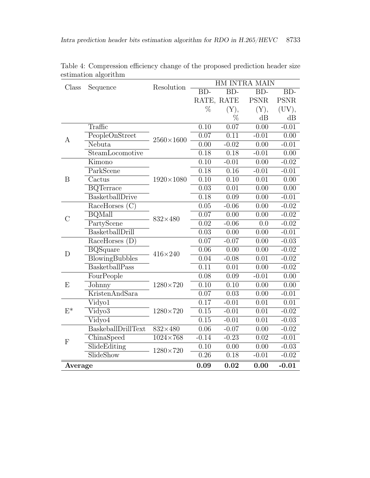| Class          | Sequence                            | Resolution         | HM INTRA MAIN     |                   |                   |             |
|----------------|-------------------------------------|--------------------|-------------------|-------------------|-------------------|-------------|
|                |                                     |                    | $BD-$             | $BD-$             | $BD-$             | $BD-$       |
|                |                                     |                    | RATE, RATE        |                   | <b>PSNR</b>       | <b>PSNR</b> |
|                |                                     |                    | $\%$              | (Y),              | (Y),              | (UV),       |
|                |                                     |                    |                   | $\%$              | dB                | dB          |
|                | Traffic                             | $2560\times1600$   | $\overline{0.10}$ | $\overline{0.07}$ | 0.00              | $-0.01$     |
|                | PeopleOnStreet                      |                    | 0.07              | 0.11              | $-0.01$           | 0.00        |
| A              | Nebuta                              |                    | 0.00              | $-0.02$           | 0.00              | $-0.01$     |
|                | SteamLocomotive                     |                    | 0.18              | 0.18              | $-0.01$           | 0.00        |
|                | Kimono                              | $1920 \times 1080$ | 0.10              | $-0.01$           | 0.00              | $-0.02$     |
|                | ParkScene                           |                    | 0.18              | $\overline{0.16}$ | $-0.01$           | $-0.01$     |
| B              | Cactus                              |                    | 0.10              | 0.10              | $\overline{0.01}$ | 0.00        |
|                | <b>BQTerrace</b>                    |                    | 0.03              | 0.01              | 0.00              | 0.00        |
|                | BasketballDrive                     |                    | 0.18              | 0.09              | 0.00              | $-0.01$     |
|                | RaceHorses $(C)$                    | 832×480            | 0.05              | $-0.06$           | 0.00              | $-0.02$     |
| $\overline{C}$ | <b>BQMall</b>                       |                    | 0.07              | 0.00              | 0.00              | $-0.02$     |
|                | PartyScene                          |                    | 0.02              | $-0.06$           | 0.0               | $-0.02$     |
|                | BasketballDrill                     |                    | 0.03              | 0.00              | 0.00              | $-0.01$     |
|                | RaceHorses<br>(D)                   | $416\times240$     | 0.07              | $-0.07$           | 0.00              | $-0.03$     |
| D              | $\overline{\text{B}}\text{QSquare}$ |                    | 0.06              | 0.00              | 0.00              | $-0.02$     |
|                | <b>BlowingBubbles</b>               |                    | 0.04              | $-0.08$           | 0.01              | $-0.02$     |
|                | BasketballPass                      |                    | 0.11              | 0.01              | 0.00              | $-0.02$     |
|                | FourPeople                          | $1280\times720$    | 0.08              | 0.09              | $-0.01$           | 0.00        |
| E              | Johnny                              |                    | 0.10              | 0.10              | 0.00              | 0.00        |
|                | KristenAndSara                      |                    | 0.07              | 0.03              | 0.00              | $-0.01$     |
| $E^*$          | Vidyo1                              | 1280×720           | 0.17              | $-0.01$           | 0.01              | 0.01        |
|                | $\overline{\text{Vidyo3}}$          |                    | 0.15              | $-0.01$           | 0.01              | $-0.02$     |
|                | Vidyo4                              |                    | 0.15              | $-0.01$           | 0.01              | $-0.03$     |
| ${\bf F}$      | BaskeballDrillText                  | $832\times480$     | 0.06              | $-0.07$           | 0.00              | $-0.02$     |
|                | ChinaSpeed                          | $1024\times768$    | $-0.14$           | $-0.23$           | 0.02              | $-0.01$     |
|                | SlideEditing                        | $1280{\times}720$  | 0.10              | 0.00              | 0.00              | $-0.03$     |
|                | SlideShow                           |                    | 0.26              | 0.18              | $-0.01$           | $-0.02$     |
| Average        |                                     | 0.09               | 0.02              | 0.00              | $-0.01$           |             |

Table 4: Compression efficiency change of the proposed prediction header size estimation algorithm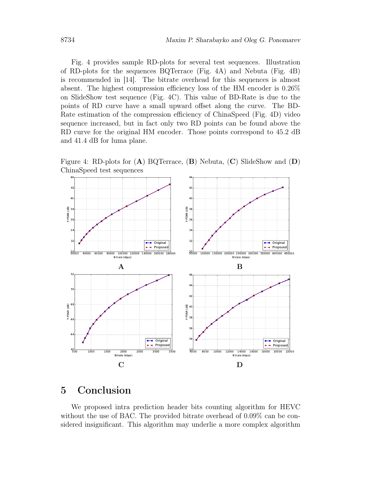Fig. 4 provides sample RD-plots for several test sequences. Illustration of RD-plots for the sequences BQTerrace (Fig. 4A) and Nebuta (Fig. 4B) is recommended in [14]. The bitrate overhead for this sequences is almost absent. The highest compression efficiency loss of the HM encoder is 0.26% on SlideShow test sequence (Fig. 4C). This value of BD-Rate is due to the points of RD curve have a small upward offset along the curve. The BD-Rate estimation of the compression efficiency of ChinaSpeed (Fig. 4D) video sequence increased, but in fact only two RD points can be found above the RD curve for the original HM encoder. Those points correspond to 45.2 dB and 41.4 dB for luma plane.

Figure 4: RD-plots for  $(A)$  BQTerrace,  $(B)$  Nebuta,  $(C)$  SlideShow and  $(D)$ ChinaSpeed test sequences



# 5 Conclusion

We proposed intra prediction header bits counting algorithm for HEVC without the use of BAC. The provided bitrate overhead of 0.09% can be considered insignificant. This algorithm may underlie a more complex algorithm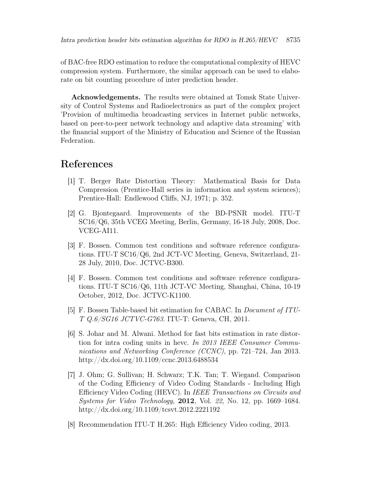of BAC-free RDO estimation to reduce the computational complexity of HEVC compression system. Furthermore, the similar approach can be used to elaborate on bit counting procedure of inter prediction header.

Acknowledgements. The results were obtained at Tomsk State University of Control Systems and Radioelectronics as part of the complex project 'Provision of multimedia broadcasting services in Internet public networks, based on peer-to-peer network technology and adaptive data streaming' with the financial support of the Ministry of Education and Science of the Russian Federation.

### References

- [1] T. Berger Rate Distortion Theory: Mathematical Basis for Data Compression (Prentice-Hall series in information and system sciences); Prentice-Hall: Endlewood Cliffs, NJ, 1971; p. 352.
- [2] G. Bjontegaard. Improvements of the BD-PSNR model. ITU-T SC16/Q6, 35th VCEG Meeting, Berlin, Germany, 16-18 July, 2008, Doc. VCEG-AI11.
- [3] F. Bossen. Common test conditions and software reference configurations. ITU-T SC16/Q6, 2nd JCT-VC Meeting, Geneva, Switzerland, 21- 28 July, 2010, Doc. JCTVC-B300.
- [4] F. Bossen. Common test conditions and software reference configurations. ITU-T SC16/Q6, 11th JCT-VC Meeting, Shanghai, China, 10-19 October, 2012, Doc. JCTVC-K1100.
- [5] F. Bossen Table-based bit estimation for CABAC. In Document of ITU-T Q.6/SG16 JCTVC-G763. ITU-T: Geneva, CH, 2011.
- [6] S. Johar and M. Alwani. Method for fast bits estimation in rate distortion for intra coding units in hevc. In 2013 IEEE Consumer Communications and Networking Conference (CCNC), pp. 721–724, Jan 2013. http://dx.doi.org/10.1109/ccnc.2013.6488534
- [7] J. Ohm; G. Sullivan; H. Schwarz; T.K. Tan; T. Wiegand. Comparison of the Coding Efficiency of Video Coding Standards - Including High Efficiency Video Coding (HEVC). In IEEE Transactions on Circuits and Systems for Video Technology, 2012, Vol. 22, No. 12, pp. 1669–1684. http://dx.doi.org/10.1109/tcsvt.2012.2221192
- [8] Recommendation ITU-T H.265: High Efficiency Video coding, 2013.